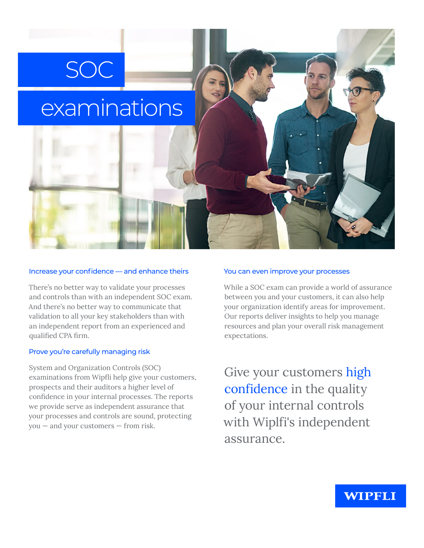# examinations

SOC

#### Increase your confidence — and enhance theirs

There's no better way to validate your processes and controls than with an independent SOC exam. And there's no better way to communicate that validation to all your key stakeholders than with an independent report from an experienced and qualified CPA firm.

#### Prove you're carefully managing risk

System and Organization Controls (SOC) examinations from Wipfli help give your customers, prospects and their auditors a higher level of confidence in your internal processes. The reports we provide serve as independent assurance that your processes and controls are sound, protecting you — and your customers — from risk.

#### You can even improve your processes

While a SOC exam can provide a world of assurance between you and your customers, it can also help your organization identify areas for improvement. Our reports deliver insights to help you manage resources and plan your overall risk management expectations.

Give your customers high confidence in the quality of your internal controls with Wiplfi's independent assurance.